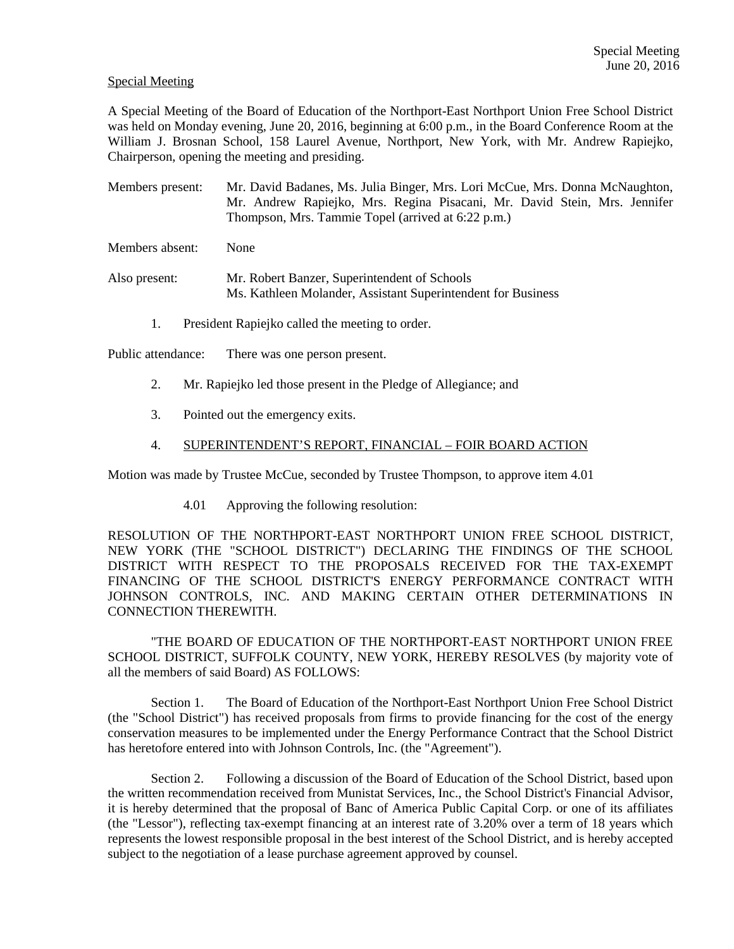## Special Meeting

A Special Meeting of the Board of Education of the Northport-East Northport Union Free School District was held on Monday evening, June 20, 2016, beginning at 6:00 p.m., in the Board Conference Room at the William J. Brosnan School, 158 Laurel Avenue, Northport, New York, with Mr. Andrew Rapiejko, Chairperson, opening the meeting and presiding.

Members present: Mr. David Badanes, Ms. Julia Binger, Mrs. Lori McCue, Mrs. Donna McNaughton, Mr. Andrew Rapiejko, Mrs. Regina Pisacani, Mr. David Stein, Mrs. Jennifer Thompson, Mrs. Tammie Topel (arrived at 6:22 p.m.)

Members absent: None

- Also present: Mr. Robert Banzer, Superintendent of Schools Ms. Kathleen Molander, Assistant Superintendent for Business
	- 1. President Rapiejko called the meeting to order.

Public attendance: There was one person present.

- 2. Mr. Rapiejko led those present in the Pledge of Allegiance; and
- 3. Pointed out the emergency exits.
- 4. SUPERINTENDENT'S REPORT, FINANCIAL FOIR BOARD ACTION

Motion was made by Trustee McCue, seconded by Trustee Thompson, to approve item 4.01

4.01 Approving the following resolution:

RESOLUTION OF THE NORTHPORT-EAST NORTHPORT UNION FREE SCHOOL DISTRICT, NEW YORK (THE "SCHOOL DISTRICT") DECLARING THE FINDINGS OF THE SCHOOL DISTRICT WITH RESPECT TO THE PROPOSALS RECEIVED FOR THE TAX-EXEMPT FINANCING OF THE SCHOOL DISTRICT'S ENERGY PERFORMANCE CONTRACT WITH JOHNSON CONTROLS, INC. AND MAKING CERTAIN OTHER DETERMINATIONS IN CONNECTION THEREWITH.

 "THE BOARD OF EDUCATION OF THE NORTHPORT-EAST NORTHPORT UNION FREE SCHOOL DISTRICT, SUFFOLK COUNTY, NEW YORK, HEREBY RESOLVES (by majority vote of all the members of said Board) AS FOLLOWS:

 Section 1. The Board of Education of the Northport-East Northport Union Free School District (the "School District") has received proposals from firms to provide financing for the cost of the energy conservation measures to be implemented under the Energy Performance Contract that the School District has heretofore entered into with Johnson Controls, Inc. (the "Agreement").

 Section 2. Following a discussion of the Board of Education of the School District, based upon the written recommendation received from Munistat Services, Inc., the School District's Financial Advisor, it is hereby determined that the proposal of Banc of America Public Capital Corp. or one of its affiliates (the "Lessor"), reflecting tax-exempt financing at an interest rate of 3.20% over a term of 18 years which represents the lowest responsible proposal in the best interest of the School District, and is hereby accepted subject to the negotiation of a lease purchase agreement approved by counsel.